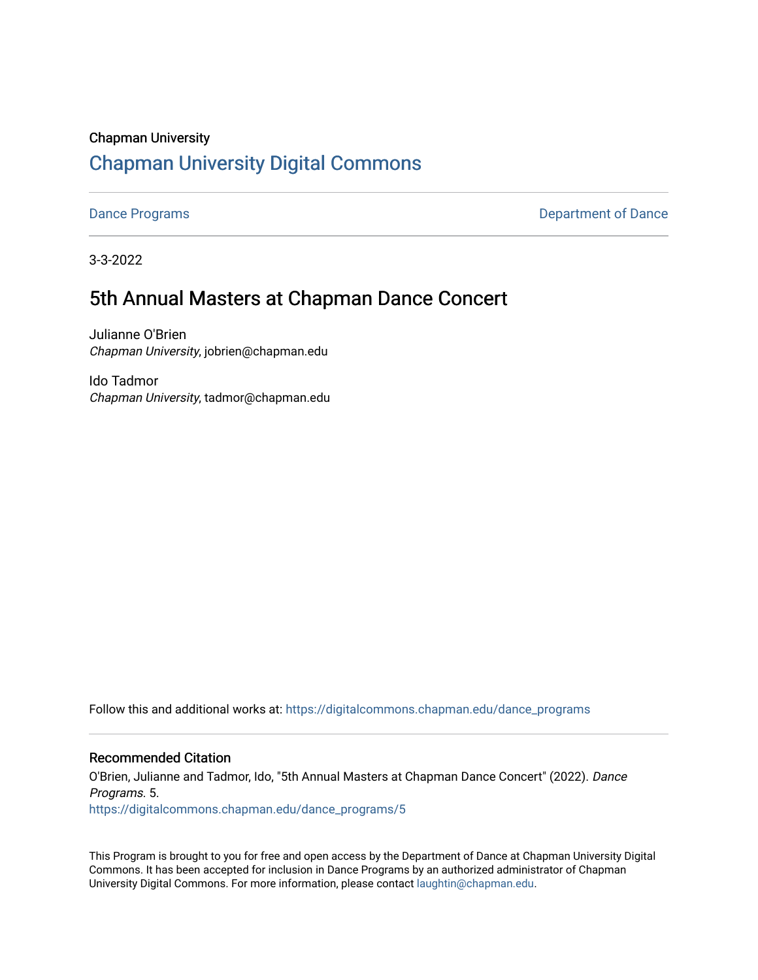### Chapman University [Chapman University Digital Commons](https://digitalcommons.chapman.edu/)

[Dance Programs](https://digitalcommons.chapman.edu/dance_programs) **Department of Dance** 

3-3-2022

### 5th Annual Masters at Chapman Dance Concert

Julianne O'Brien Chapman University, jobrien@chapman.edu

Ido Tadmor Chapman University, tadmor@chapman.edu

Follow this and additional works at: [https://digitalcommons.chapman.edu/dance\\_programs](https://digitalcommons.chapman.edu/dance_programs?utm_source=digitalcommons.chapman.edu%2Fdance_programs%2F5&utm_medium=PDF&utm_campaign=PDFCoverPages)

### Recommended Citation

O'Brien, Julianne and Tadmor, Ido, "5th Annual Masters at Chapman Dance Concert" (2022). Dance Programs. 5. [https://digitalcommons.chapman.edu/dance\\_programs/5](https://digitalcommons.chapman.edu/dance_programs/5?utm_source=digitalcommons.chapman.edu%2Fdance_programs%2F5&utm_medium=PDF&utm_campaign=PDFCoverPages) 

This Program is brought to you for free and open access by the Department of Dance at Chapman University Digital Commons. It has been accepted for inclusion in Dance Programs by an authorized administrator of Chapman University Digital Commons. For more information, please contact [laughtin@chapman.edu.](mailto:laughtin@chapman.edu)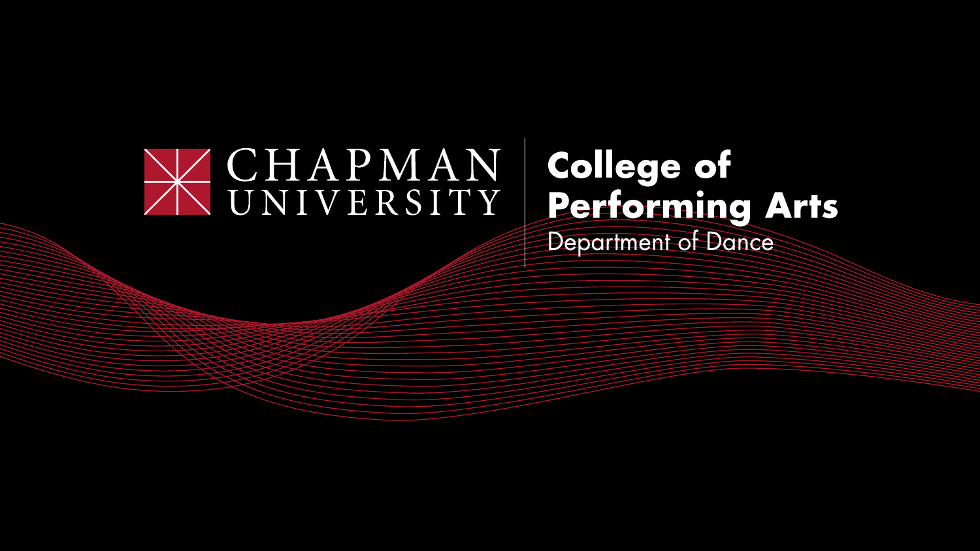## WONIVERSITY College of<br>Performing Arts Department of Dance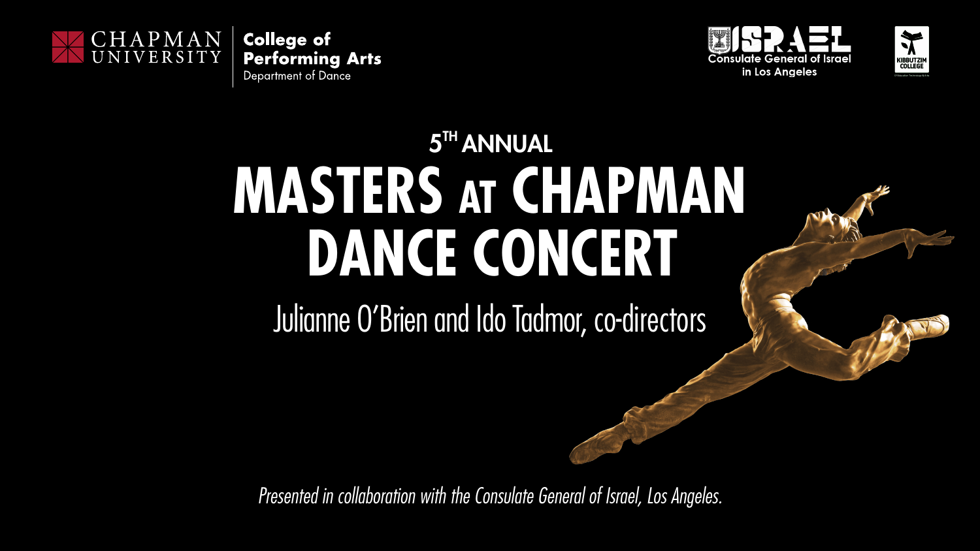

**College of Performing Arts** 

Department of Dance

# 5<sup>TH</sup> ANNUAL **MASTERS at CHAPMAN DANCE CONCERT**

Julianne O'Brien and Ido Tadmor, co-directors



*Presented in collaboration with the Consulate General of Israel, Los Angeles.*



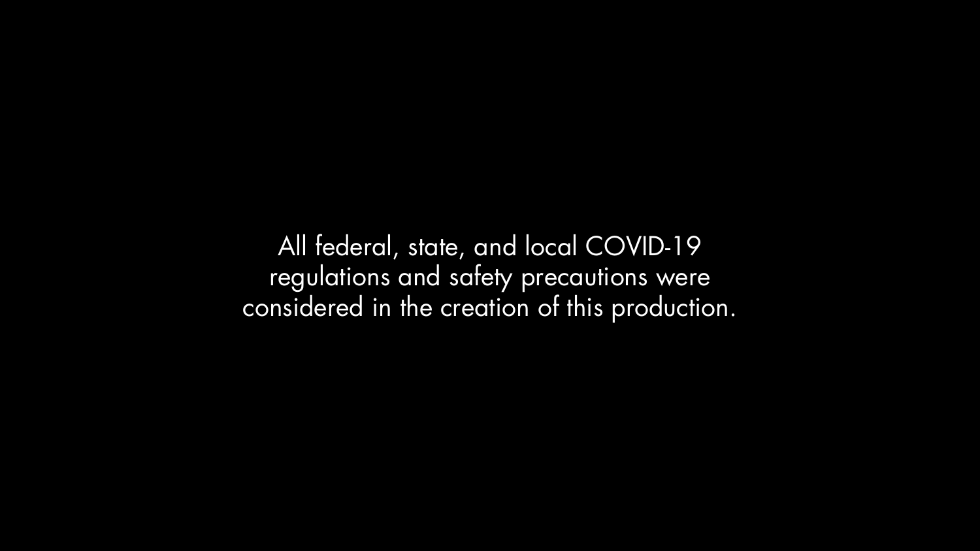All federal, state, and local COVID-19 regulations and safety precautions were considered in the creation of this production.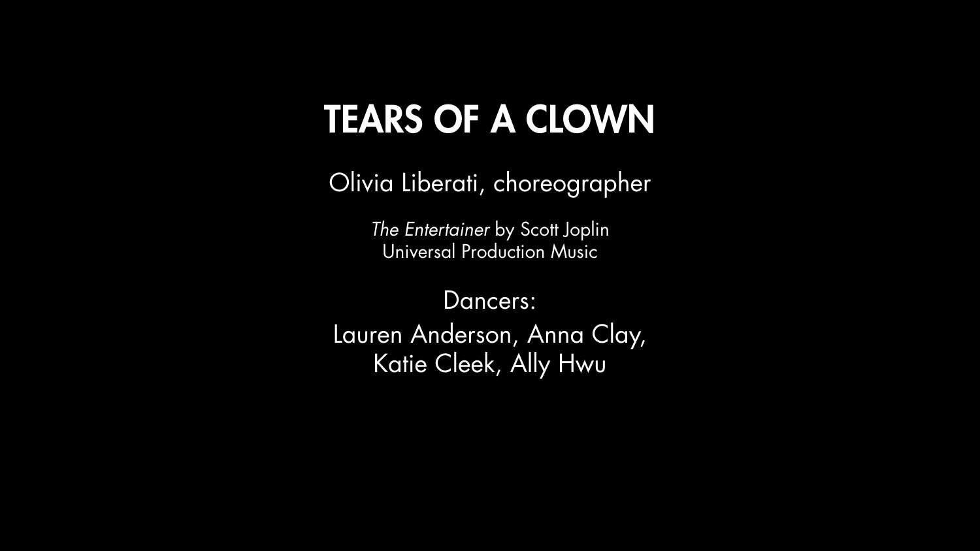## TEARS OF A CLOWN

- Olivia Liberati, choreographer
	- *The Entertainer* by Scott Joplin Universal Production Music
		- Dancers:
- Lauren Anderson, Anna Clay, Katie Cleek, Ally Hwu